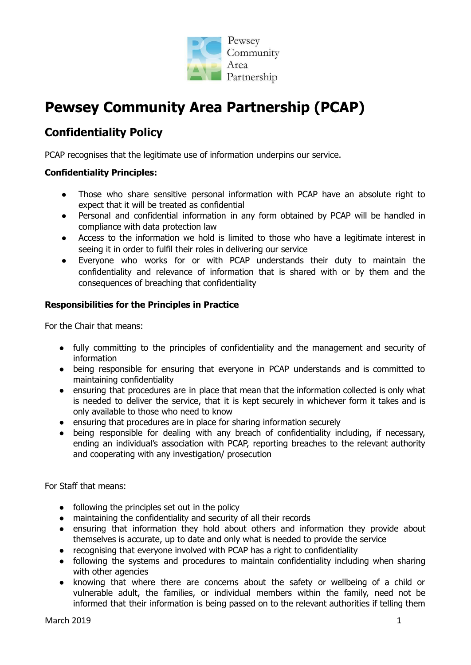

# **Pewsey Community Area Partnership (PCAP)**

# **Confidentiality Policy**

PCAP recognises that the legitimate use of information underpins our service.

#### **Confidentiality Principles:**

- Those who share sensitive personal information with PCAP have an absolute right to expect that it will be treated as confidential
- Personal and confidential information in any form obtained by PCAP will be handled in compliance with data protection law
- Access to the information we hold is limited to those who have a legitimate interest in seeing it in order to fulfil their roles in delivering our service
- Everyone who works for or with PCAP understands their duty to maintain the confidentiality and relevance of information that is shared with or by them and the consequences of breaching that confidentiality

#### **Responsibilities for the Principles in Practice**

For the Chair that means:

- fully committing to the principles of confidentiality and the management and security of information
- being responsible for ensuring that everyone in PCAP understands and is committed to maintaining confidentiality
- ensuring that procedures are in place that mean that the information collected is only what is needed to deliver the service, that it is kept securely in whichever form it takes and is only available to those who need to know
- ensuring that procedures are in place for sharing information securely
- being responsible for dealing with any breach of confidentiality including, if necessary, ending an individual's association with PCAP, reporting breaches to the relevant authority and cooperating with any investigation/ prosecution

For Staff that means:

- $\bullet$  following the principles set out in the policy
- maintaining the confidentiality and security of all their records
- ensuring that information they hold about others and information they provide about themselves is accurate, up to date and only what is needed to provide the service
- recognising that everyone involved with PCAP has a right to confidentiality
- following the systems and procedures to maintain confidentiality including when sharing with other agencies
- knowing that where there are concerns about the safety or wellbeing of a child or vulnerable adult, the families, or individual members within the family, need not be informed that their information is being passed on to the relevant authorities if telling them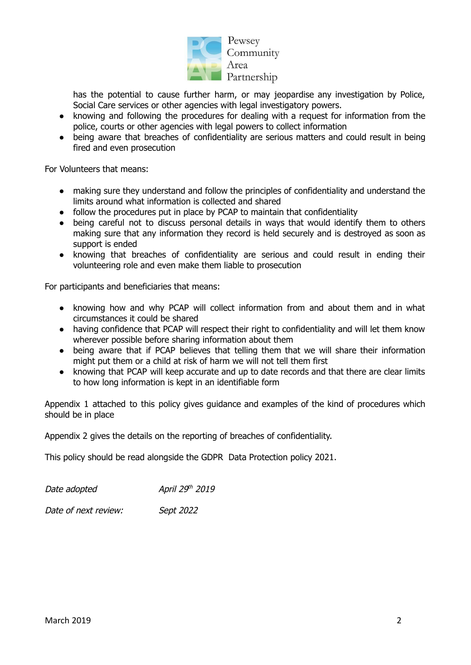

Pewsey Community Area Partnership

has the potential to cause further harm, or may jeopardise any investigation by Police, Social Care services or other agencies with legal investigatory powers.

- knowing and following the procedures for dealing with a request for information from the police, courts or other agencies with legal powers to collect information
- being aware that breaches of confidentiality are serious matters and could result in being fired and even prosecution

For Volunteers that means:

- making sure they understand and follow the principles of confidentiality and understand the limits around what information is collected and shared
- follow the procedures put in place by PCAP to maintain that confidentiality
- being careful not to discuss personal details in ways that would identify them to others making sure that any information they record is held securely and is destroyed as soon as support is ended
- knowing that breaches of confidentiality are serious and could result in ending their volunteering role and even make them liable to prosecution

For participants and beneficiaries that means:

- knowing how and why PCAP will collect information from and about them and in what circumstances it could be shared
- having confidence that PCAP will respect their right to confidentiality and will let them know wherever possible before sharing information about them
- being aware that if PCAP believes that telling them that we will share their information might put them or a child at risk of harm we will not tell them first
- knowing that PCAP will keep accurate and up to date records and that there are clear limits to how long information is kept in an identifiable form

Appendix 1 attached to this policy gives guidance and examples of the kind of procedures which should be in place

Appendix 2 gives the details on the reporting of breaches of confidentiality.

This policy should be read alongside the GDPR Data Protection policy 2021.

Date adopted April 29<sup>th</sup> 2019

Date of next review: Sept 2022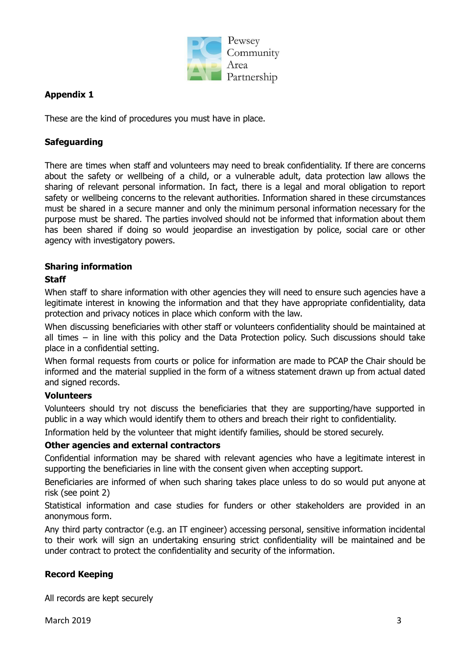

# **Appendix 1**

These are the kind of procedures you must have in place.

### **Safeguarding**

There are times when staff and volunteers may need to break confidentiality. If there are concerns about the safety or wellbeing of a child, or a vulnerable adult, data protection law allows the sharing of relevant personal information. In fact, there is a legal and moral obligation to report safety or wellbeing concerns to the relevant authorities. Information shared in these circumstances must be shared in a secure manner and only the minimum personal information necessary for the purpose must be shared. The parties involved should not be informed that information about them has been shared if doing so would jeopardise an investigation by police, social care or other agency with investigatory powers.

#### **Sharing information**

#### **Staff**

When staff to share information with other agencies they will need to ensure such agencies have a legitimate interest in knowing the information and that they have appropriate confidentiality, data protection and privacy notices in place which conform with the law.

When discussing beneficiaries with other staff or volunteers confidentiality should be maintained at all times – in line with this policy and the Data Protection policy. Such discussions should take place in a confidential setting.

When formal requests from courts or police for information are made to PCAP the Chair should be informed and the material supplied in the form of a witness statement drawn up from actual dated and signed records.

#### **Volunteers**

Volunteers should try not discuss the beneficiaries that they are supporting/have supported in public in a way which would identify them to others and breach their right to confidentiality.

Information held by the volunteer that might identify families, should be stored securely.

#### **Other agencies and external contractors**

Confidential information may be shared with relevant agencies who have a legitimate interest in supporting the beneficiaries in line with the consent given when accepting support.

Beneficiaries are informed of when such sharing takes place unless to do so would put anyone at risk (see point 2)

Statistical information and case studies for funders or other stakeholders are provided in an anonymous form.

Any third party contractor (e.g. an IT engineer) accessing personal, sensitive information incidental to their work will sign an undertaking ensuring strict confidentiality will be maintained and be under contract to protect the confidentiality and security of the information.

# **Record Keeping**

All records are kept securely